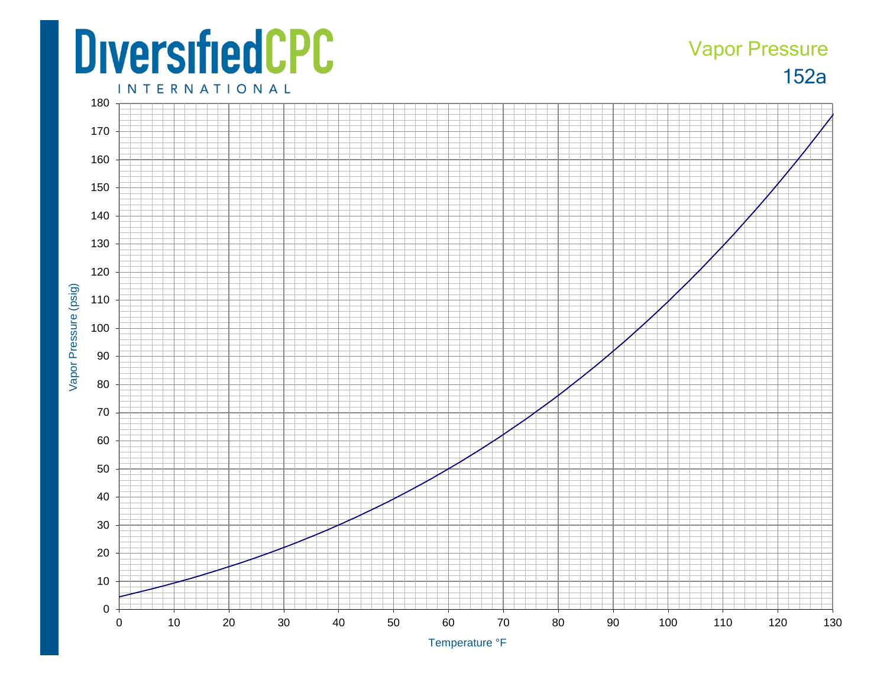## **DiversifiedCPC**

## 152a Vapor Pressure

**INTERNATIONAL** 



Temperature °F